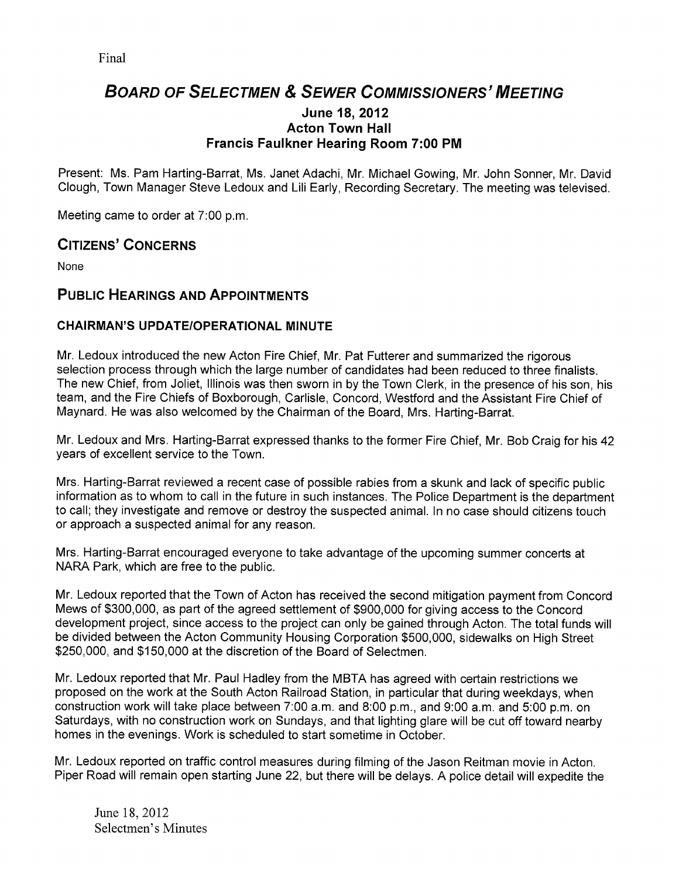# BOARD OF SELECTMEN & SEWER COMMISSIONERS' MEETING

#### June 18, 2012 Acton Town Hall Francis Faulkner Hearing Room 7:00 PM

Present: Ms. Pam Harting-Barrat, Ms. Janet Adachi, Mr. Michael Gowing, Mr. John Sonner, Mr. David Clough, Town Manager Steve Ledoux and Lili Early, Recording Secretary. The meeting was televised.

Meeting came to order at 7:00 p.m.

# CITIZENS' CONCERNS

None

# PUBLIC HEARINGS AND APPOINTMENTS

## CHAIRMAN'S UPDATEIOPERATIONAL MINUTE

Mr. Ledoux introduced the new Acton Fire Chief, Mr. Pat Futterer and summarized the rigorous selection process through which the large number of candidates had been reduced to three finalists. The new Chief, from Joliet, Illinois was then sworn in by the Town Clerk, in the presence of his son, his team, and the Fire Chiefs of Boxborough, Carlisle, Concord, Westford and the Assistant Fire Chief of Maynard. He was also welcomed by the Chairman of the Board, Mrs. Harting-Barrat.

Mr. Ledoux and Mrs. Harting-Barrat expressed thanks to the former Fire Chief, Mr. Bob Craig for his 42 years of excellent service to the Town.

Mrs. Harting-Barrat reviewed a recent case of possible rabies from a skunk and lack of specific public information as to whom to call in the future in such instances. The Police Department is the department to call; they investigate and remove or destroy the suspected animal. In no case should citizens touch or approach a suspected animal for any reason.

Mrs. Harting-Barrat encouraged everyone to take advantage of the upcoming summer concerts at NARA Park, which are free to the public.

Mr. Ledoux reported that the Town of Acton has received the second mitigation payment from Concord Mews of \$300,000, as part of the agreed settlement of \$900,000 for giving access to the Concord development project, since access to the project can only be gained through Acton. The total funds will be divided between the Acton Community Housing Corporation \$500,000, sidewalks on High Street \$250,000, and \$150,000 at the discretion of the Board of Selectmen.

Mr. Ledoux reported that Mr. Paul Hadley from the MBTA has agreed with certain restrictions we proposed on the work at the South Acton Railroad Station, in particular that during weekdays, when construction work will take place between 7:00 a.m. and 8:00 p.m., and 9:00 a.m. and 5:00 p.m. on Saturdays, with no construction work on Sundays, and that lighting glare will be cut off toward nearby homes in the evenings. Work is scheduled to start sometime in October.

Mr. Ledoux reported on traffic control measures during filming of the Jason Reitman movie in Acton. Piper Road will remain open starting June 22, but there will be delays. A police detail will expedite the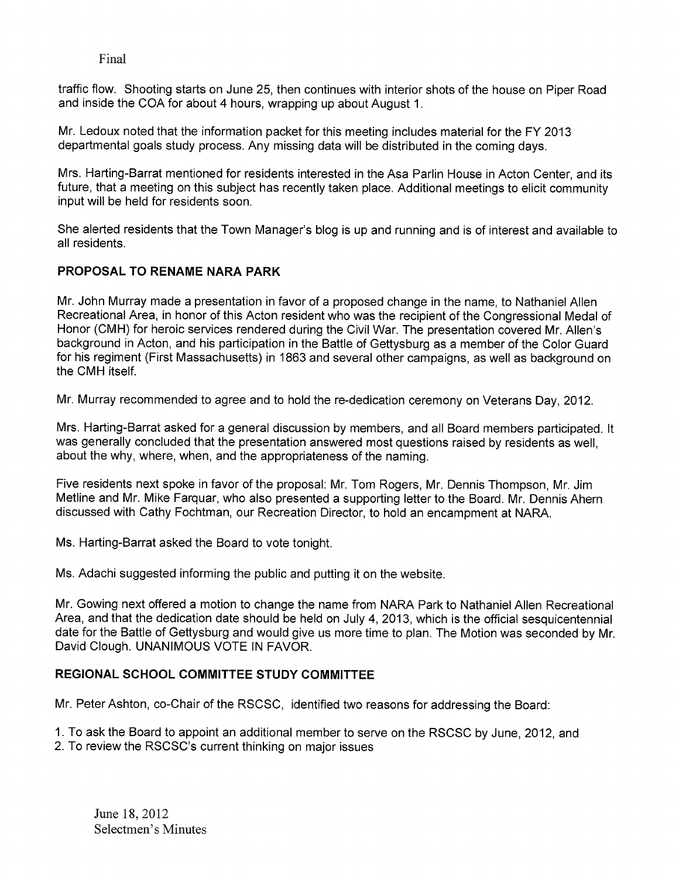traffic flow. Shooting starts on June 25, then continues with interior shots of the house on Piper Road and inside the COA for about 4 hours, wrapping up about August 1.

Mr. Ledoux noted that the information packet for this meeting includes material for the FY 2013 departmental goals study process. Any missing data will be distributed in the coming days.

Mrs. Harting-Barrat mentioned for residents interested in the Asa Parlin House in Acton Center, and its future, that a meeting on this subject has recently taken place. Additional meetings to elicit community input will be held for residents soon.

She alerted residents that the Town Manager's blog is up and running and is of interest and available to all residents.

## PROPOSAL TO RENAME NARA PARK

Mr. John Murray made a presentation in favor of a proposed change in the name, to Nathaniel Allen Recreational Area, in honor of this Acton resident who was the recipient of the Congressional Medal of Honor (CMH) for heroic services rendered during the Civil War. The presentation covered Mr. Allen's background in Acton, and his participation in the Battle of Gettysburg as a member of the Color Guard for his regiment (First Massachusetts) in 1863 and several other campaigns, as well as background on the CMH itself.

Mr. Murray recommended to agree and to hold the re-dedication ceremony on Veterans Day, 2012.

Mrs. Harting-Barrat asked for a general discussion by members, and all Board members participated. It was generally concluded that the presentation answered most questions raised by residents as well, about the why, where, when, and the appropriateness of the naming.

Five residents next spoke in favor of the proposal: Mr. Tom Rogers, Mr. Dennis Thompson, Mr. Jim Metline and Mr. Mike Farquar, who also presented a supporting letter to the Board. Mr. Dennis Ahern discussed with Cathy Fochtman, our Recreation Director, to hold an encampment at NARA.

Ms. Harting-Barrat asked the Board to vote tonight.

Ms. Adachi suggested informing the public and putting it on the website.

Mr. Gowing next offered a motion to change the name from NARA Park to Nathaniel Allen Recreational Area, and that the dedication date should be held on July 4, 2013, which is the official sesquicentennial date for the Battle of Gettysburg and would give us more time to plan. The Motion was seconded by Mr. David Clough. UNANIMOUS VOTE IN FAVOR.

#### REGIONAL SCHOOL COMMITTEE STUDY COMMITTEE

Mr. Peter Ashton, co-Chair of the RSCSC, identified two reasons for addressing the Board:

1. To ask the Board to appoint an additional member to serve on the RSCSC by June, 2012, and

2. To review the RSCSC's current thinking on major issues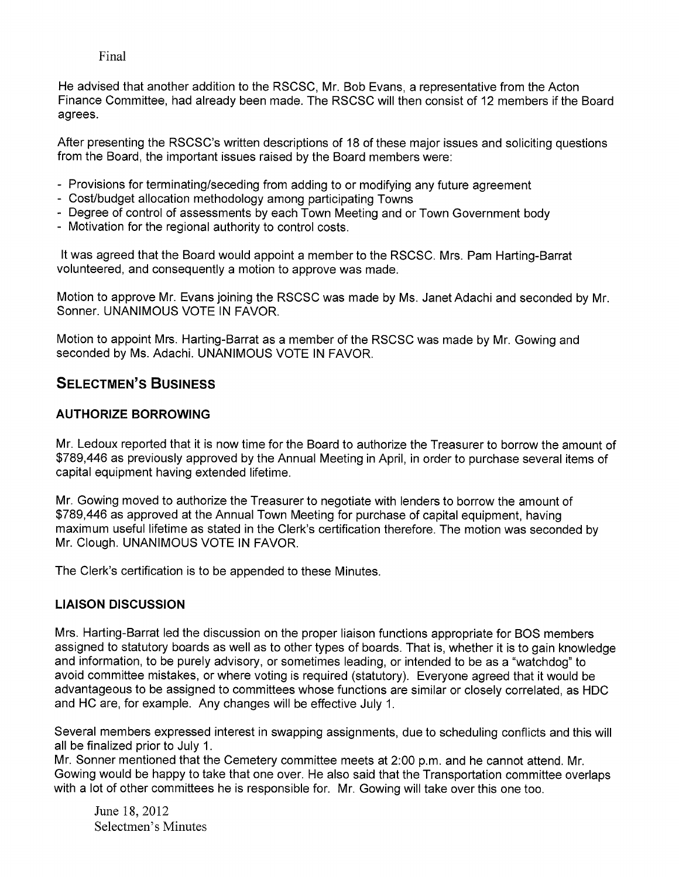He advised that another addition to the RSCSC, Mr. Bob Evans, a representative from the Acton Finance Committee, had already been made. The RSCSC will then consist of 12 members if the Board agrees.

After presenting the RSCSC's written descriptions of 18 of these major issues and soliciting questions from the Board, the important issues raised by the Board members were:

- Provisions for terminating/seceding from adding to or modifying any future agreement
- Cost/budget allocation methodology among participating Towns
- Degree of control of assessments by each Town Meeting and or Town Government body
- Motivation for the regional authority to control costs.

It was agreed that the Board would appoint a member to the RSCSC. Mrs. Pam Harting-Barrat volunteered, and consequently a motion to approve was made.

Motion to approve Mr. Evans joining the RSCSC was made by Ms. Janet Adachi and seconded by Mr. Sonner. UNANIMOUS VOTE IN FAVOR.

Motion to appoint Mrs. Harting-Barrat as a member of the RSCSC was made by Mr. Gowing and seconded by Ms. Adachi. UNANIMOUS VOTE IN FAVOR.

# SELECTMEN'S BUSINESS

## AUTHORIZE BORROWING

Mr. Ledoux reported that it is now time for the Board to authorize the Treasurer to borrow the amount of \$789,446 as previously approved by the Annual Meeting in April, in order to purchase several items of capital equipment having extended lifetime.

Mr. Gowing moved to authorize the Treasurer to negotiate with lenders to borrow the amount of \$789,446 as approved at the Annual Town Meeting for purchase of capital equipment, having maximum useful lifetime as stated in the Clerk's certification therefore. The motion was seconded by Mr. Clough. UNANIMOUS VOTE IN FAVOR.

The Clerk's certification is to be appended to these Minutes.

# LIAISON DISCUSSION

Mrs. Harting-Barrat led the discussion on the proper liaison functions appropriate for SOS members assigned to statutory boards as well as to other types of boards. That is, whether it is to gain knowledge and information, to be purely advisory, or sometimes leading, or intended to be as a "watchdog" to avoid committee mistakes, or where voting is required (statutory). Everyone agreed that it would be advantageous to be assigned to committees whose functions are similar or closely correlated, as HDC and HC are, for example. Any changes will be effective July 1.

Several members expressed interest in swapping assignments, due to scheduling conflicts and this will all be finalized prior to July 1.

Mr. Sonner mentioned that the Cemetery committee meets at 2:00 p.m. and he cannot attend. Mr. Gowing would be happy to take that one over. He also said that the Transportation committee overlaps with a lot of other committees he is responsible for. Mr. Gowing will take over this one too.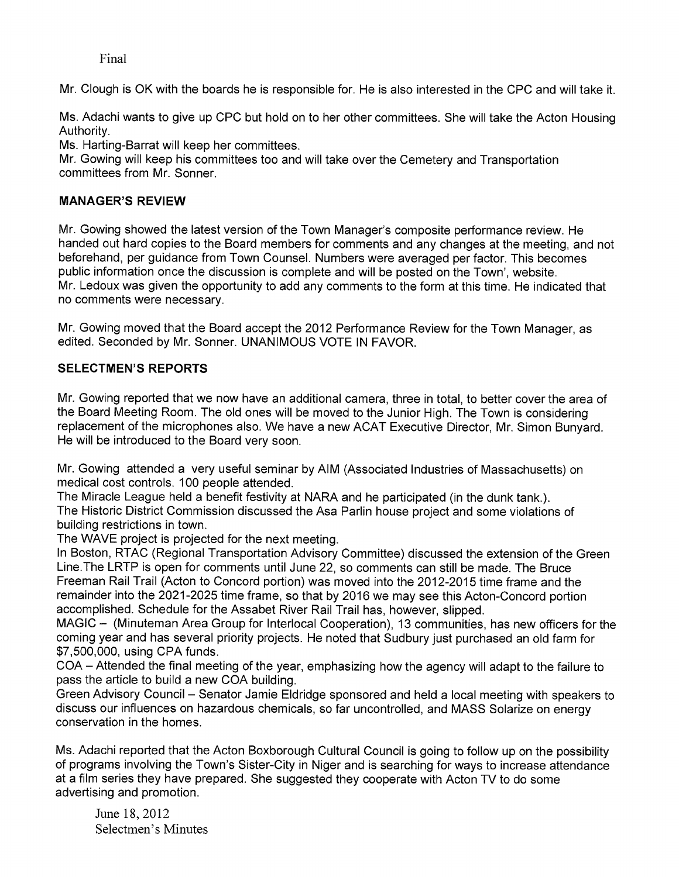Mr. Clough is OK with the boards he is responsible for. He is also interested in the CPC and will take it.

Ms. Adachi wants to give up CPC but hold on to her other committees. She will take the Acton Housing Authority.

Ms. Harting-Barrat will keep her committees.

Mr. Gowing will keep his committees too and will take over the Cemetery and Transportation committees from Mr. Sonner.

## MANAGER'S REVIEW

Mr. Gowing showed the latest version of the Town Manager's composite performance review. He handed out hard copies to the Board members for comments and any changes at the meeting, and not beforehand, per guidance from Town Counsel. Numbers were averaged per factor. This becomes public information once the discussion is complete and will be posted on the Town', website. Mr. Ledoux was given the opportunity to add any comments to the form at this time. He indicated that no comments were necessary.

Mr. Gowing moved that the Board accept the 2012 Performance Review for the Town Manager, as edited. Seconded by Mr. Sonner. UNANIMOUS VOTE IN FAVOR.

## SELECTMEN'S REPORTS

Mr. Gowing reported that we now have an additional camera, three in total, to better cover the area of the Board Meeting Room. The old ones will be moved to the Junior High. The Town is considering replacement of the microphones also. We have a new ACAT Executive Director, Mr. Simon Bunyard. He will be introduced to the Board very soon.

Mr. Gowing attended a very useful seminar by AIM (Associated Industries of Massachusetts) on medical cost controls. 100 people attended.

The Miracle League held a benefit festivity at NARA and he participated (in the dunk tank.). The Historic District Commission discussed the Asa Parlin house project and some violations of building restrictions in town.

The WAVE project is projected for the next meeting.

In Boston, RTAC (Regional Transportation Advisory Committee) discussed the extension of the Green Line.The LRTP is open for comments until June 22, so comments can still be made. The Bruce Freeman Rail Trail (Acton to Concord portion) was moved into the 2012-2015 time frame and the remainder into the 2021-2025 time frame, so that by 2016 we may see this Acton-Concord portion accomplished. Schedule for the Assabet River Rail Trail has, however, slipped.

MAGIC — (Minuteman Area Group for Interlocal Cooperation), 13 communities, has new officers for the coming year and has several priority projects. He noted that Sudbury just purchased an old farm for \$7,500,000, using CPA funds.

COA — Attended the final meeting of the year, emphasizing how the agency will adapt to the failure to pass the article to build a new COA building.

Green Advisory Council — Senator Jamie Eldridge sponsored and held a local meeting with speakers to discuss our influences on hazardous chemicals, so far uncontrolled, and MASS Solarize on energy conservation in the homes.

Ms. Adachi reported that the Acton Boxborough Cultural Council is going to follow up on the possibility of programs involving the Town's Sister-City in Niger and is searching for ways to increase attendance at a film series they have prepared. She suggested they cooperate with Acton TV to do some advertising and promotion.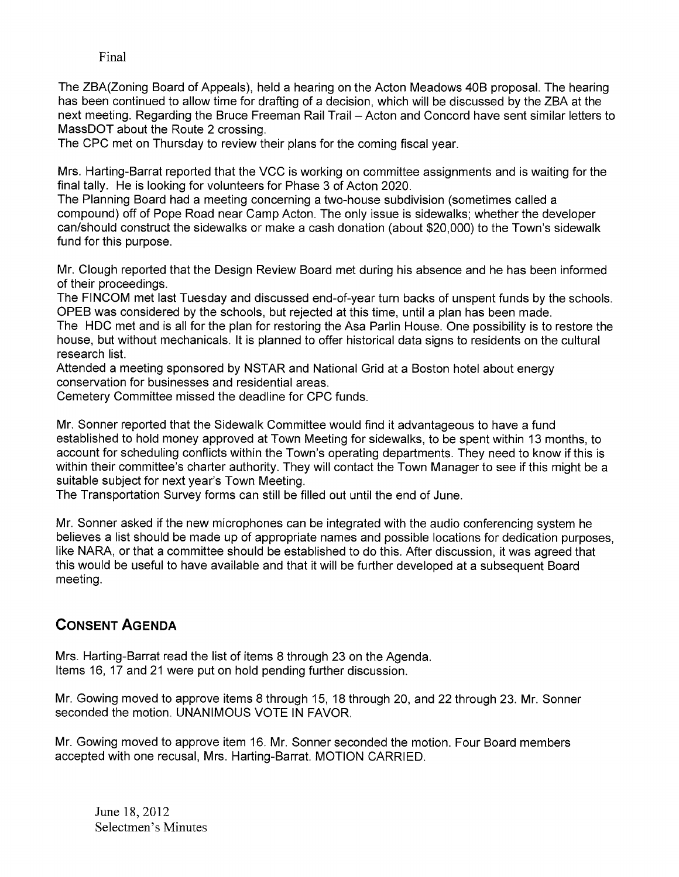The ZBA(Zoning Board of Appeals), held a hearing on the Acton Meadows 40B proposal. The hearing has been continued to allow time for drafting of a decision, which will be discussed by the ZBA at the next meeting. Regarding the Bruce Freeman Rail Trail — Acton and Concord have sent similar letters to MassDOT about the Route 2 crossing.

The CPC met on Thursday to review their plans for the coming fiscal year.

Mrs. Harting-Barrat reported that the VCC is working on committee assignments and is waiting for the final tally. He is looking for volunteers for Phase 3 of Acton 2020.

The Planning Board had a meeting concerning a two-house subdivision (sometimes called a compound) off of Pope Road near Camp Acton. The only issue is sidewalks; whether the developer can/should construct the sidewalks or make a cash donation (about \$20,000) to the Town's sidewalk fund for this purpose.

Mr. Clough reported that the Design Review Board met during his absence and he has been informed of their proceedings.

The FINCOM met last Tuesday and discussed end-of-year turn backs of unspent funds by the schools. OPEB was considered by the schools, but rejected at this time, until a plan has been made. The HDC met and is all for the plan for restoring the Asa Parlin House. One possibility is to restore the house, but without mechanicals. It is planned to offer historical data signs to residents on the cultural research list.

Attended a meeting sponsored by NSTAR and National Grid at a Boston hotel about energy conservation for businesses and residential areas.

Cemetery Committee missed the deadline for CPC funds.

Mr. Sonner reported that the Sidewalk Committee would find it advantageous to have a fund established to hold money approved at Town Meeting for sidewalks, to be spent within 13 months, to account for scheduling conflicts within the Town's operating departments. They need to know if this is within their committee's charter authority. They will contact the Town Manager to see if this might be a suitable subject for next year's Town Meeting.

The Transportation Survey forms can still be filled out until the end of June.

Mr. Sonner asked if the new microphones can be integrated with the audio conferencing system he believes a list should be made up of appropriate names and possible locations for dedication purposes, like NARA, or that a committee should be established to do this. After discussion, it was agreed that this would be useful to have available and that it will be further developed at a subsequent Board meeting.

# CONSENT AGENDA

Mrs. Harting-Barrat read the list of items 8 through 23 on the Agenda. Items 16, 17 and 21 were put on hold pending further discussion.

Mr. Gowing moved to approve items 8 through 15, 18 through 20, and 22 through 23. Mr. Sonner seconded the motion. UNANIMOUS VOTE IN FAVOR.

Mr. Gowing moved to approve item 16. Mr. Sonner seconded the motion. Four Board members accepted with one recusal, Mrs. Harting-Barrat. MOTION CARRIED.